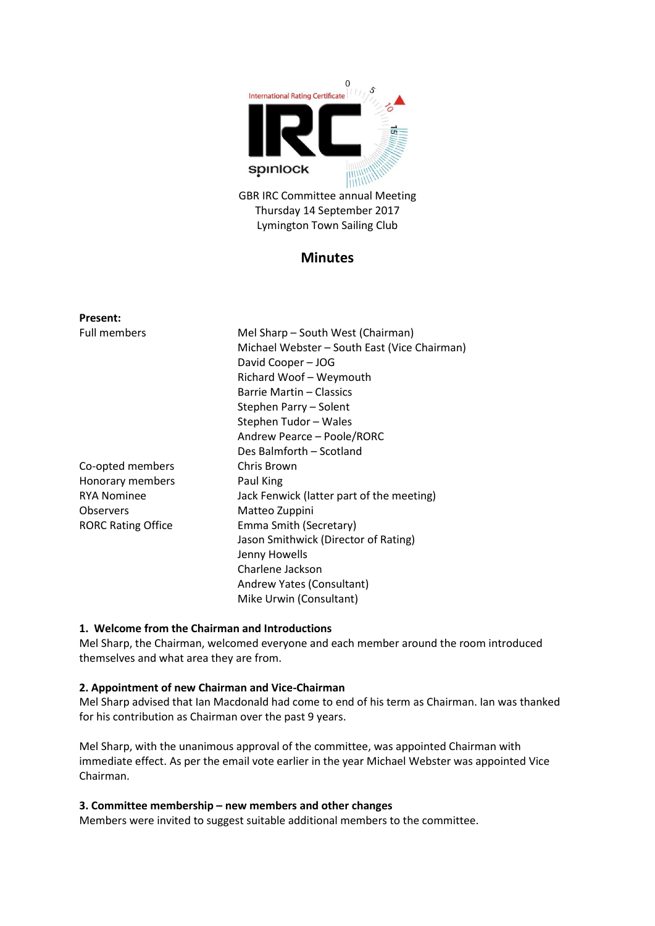

GBR IRC Committee annual Meeting Thursday 14 September 2017 Lymington Town Sailing Club

# **Minutes**

| <b>Present:</b>           |                                              |
|---------------------------|----------------------------------------------|
| <b>Full members</b>       | Mel Sharp – South West (Chairman)            |
|                           | Michael Webster - South East (Vice Chairman) |
|                           | David Cooper - JOG                           |
|                           | Richard Woof - Weymouth                      |
|                           | Barrie Martin - Classics                     |
|                           | Stephen Parry - Solent                       |
|                           | Stephen Tudor - Wales                        |
|                           | Andrew Pearce - Poole/RORC                   |
|                           | Des Balmforth - Scotland                     |
| Co-opted members          | Chris Brown                                  |
| Honorary members          | Paul King                                    |
| <b>RYA Nominee</b>        | Jack Fenwick (latter part of the meeting)    |
| <b>Observers</b>          | Matteo Zuppini                               |
| <b>RORC Rating Office</b> | Emma Smith (Secretary)                       |
|                           | Jason Smithwick (Director of Rating)         |
|                           | Jenny Howells                                |
|                           | Charlene Jackson                             |
|                           | Andrew Yates (Consultant)                    |
|                           | Mike Urwin (Consultant)                      |

## **1. Welcome from the Chairman and Introductions**

Mel Sharp, the Chairman, welcomed everyone and each member around the room introduced themselves and what area they are from.

#### **2. Appointment of new Chairman and Vice-Chairman**

Mel Sharp advised that Ian Macdonald had come to end of his term as Chairman. Ian was thanked for his contribution as Chairman over the past 9 years.

Mel Sharp, with the unanimous approval of the committee, was appointed Chairman with immediate effect. As per the email vote earlier in the year Michael Webster was appointed Vice Chairman.

#### **3. Committee membership – new members and other changes**

Members were invited to suggest suitable additional members to the committee.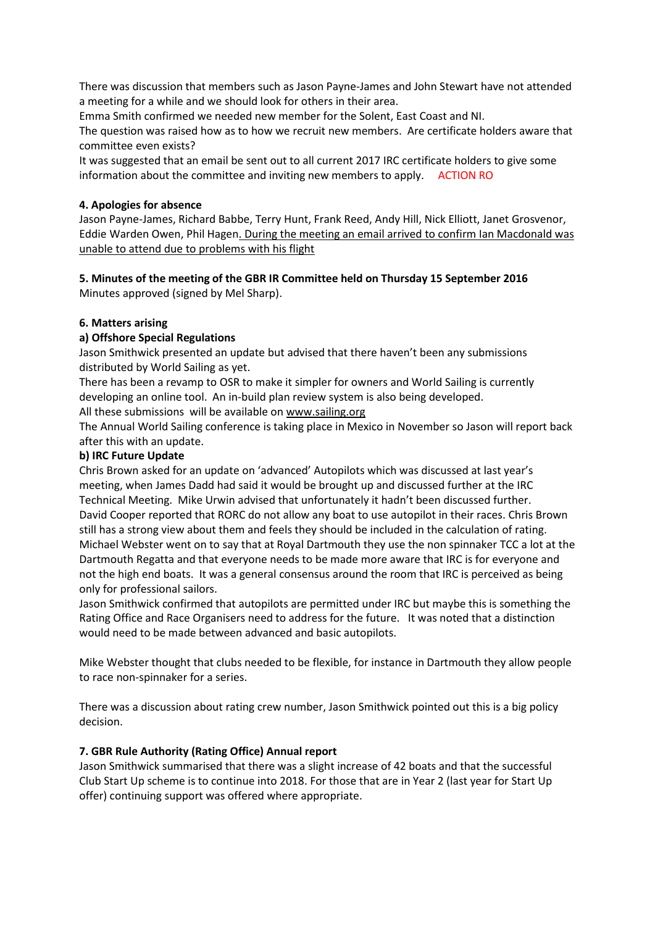There was discussion that members such as Jason Payne-James and John Stewart have not attended a meeting for a while and we should look for others in their area.

Emma Smith confirmed we needed new member for the Solent, East Coast and NI.

The question was raised how as to how we recruit new members. Are certificate holders aware that committee even exists?

It was suggested that an email be sent out to all current 2017 IRC certificate holders to give some information about the committee and inviting new members to apply. ACTION RO

## **4. Apologies for absence**

Jason Payne-James, Richard Babbe, Terry Hunt, Frank Reed, Andy Hill, Nick Elliott, Janet Grosvenor, Eddie Warden Owen, Phil Hagen. During the meeting an email arrived to confirm Ian Macdonald was unable to attend due to problems with his flight

## **5. Minutes of the meeting of the GBR IR Committee held on Thursday 15 September 2016**  Minutes approved (signed by Mel Sharp).

## **6. Matters arising**

## **a) Offshore Special Regulations**

Jason Smithwick presented an update but advised that there haven't been any submissions distributed by World Sailing as yet.

There has been a revamp to OSR to make it simpler for owners and World Sailing is currently developing an online tool. An in-build plan review system is also being developed.

All these submissions will be available on [www.sailing.org](http://www.sailing.org/)

The Annual World Sailing conference is taking place in Mexico in November so Jason will report back after this with an update.

## **b) IRC Future Update**

Chris Brown asked for an update on 'advanced' Autopilots which was discussed at last year's meeting, when James Dadd had said it would be brought up and discussed further at the IRC Technical Meeting. Mike Urwin advised that unfortunately it hadn't been discussed further. David Cooper reported that RORC do not allow any boat to use autopilot in their races. Chris Brown still has a strong view about them and feels they should be included in the calculation of rating. Michael Webster went on to say that at Royal Dartmouth they use the non spinnaker TCC a lot at the Dartmouth Regatta and that everyone needs to be made more aware that IRC is for everyone and not the high end boats. It was a general consensus around the room that IRC is perceived as being only for professional sailors.

Jason Smithwick confirmed that autopilots are permitted under IRC but maybe this is something the Rating Office and Race Organisers need to address for the future. It was noted that a distinction would need to be made between advanced and basic autopilots.

Mike Webster thought that clubs needed to be flexible, for instance in Dartmouth they allow people to race non-spinnaker for a series.

There was a discussion about rating crew number, Jason Smithwick pointed out this is a big policy decision.

# **7. GBR Rule Authority (Rating Office) Annual report**

Jason Smithwick summarised that there was a slight increase of 42 boats and that the successful Club Start Up scheme is to continue into 2018. For those that are in Year 2 (last year for Start Up offer) continuing support was offered where appropriate.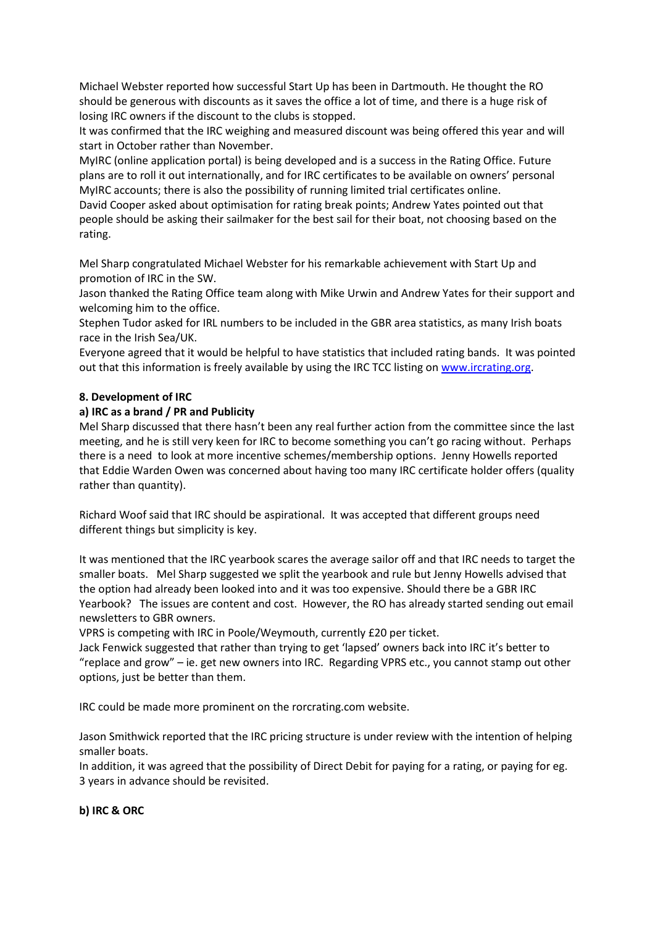Michael Webster reported how successful Start Up has been in Dartmouth. He thought the RO should be generous with discounts as it saves the office a lot of time, and there is a huge risk of losing IRC owners if the discount to the clubs is stopped.

It was confirmed that the IRC weighing and measured discount was being offered this year and will start in October rather than November.

MyIRC (online application portal) is being developed and is a success in the Rating Office. Future plans are to roll it out internationally, and for IRC certificates to be available on owners' personal MyIRC accounts; there is also the possibility of running limited trial certificates online.

David Cooper asked about optimisation for rating break points; Andrew Yates pointed out that people should be asking their sailmaker for the best sail for their boat, not choosing based on the rating.

Mel Sharp congratulated Michael Webster for his remarkable achievement with Start Up and promotion of IRC in the SW.

Jason thanked the Rating Office team along with Mike Urwin and Andrew Yates for their support and welcoming him to the office.

Stephen Tudor asked for IRL numbers to be included in the GBR area statistics, as many Irish boats race in the Irish Sea/UK.

Everyone agreed that it would be helpful to have statistics that included rating bands. It was pointed out that this information is freely available by using the IRC TCC listing on [www.ircrating.org.](http://www.ircrating.org/)

## **8. Development of IRC**

## **a) IRC as a brand / PR and Publicity**

Mel Sharp discussed that there hasn't been any real further action from the committee since the last meeting, and he is still very keen for IRC to become something you can't go racing without. Perhaps there is a need to look at more incentive schemes/membership options. Jenny Howells reported that Eddie Warden Owen was concerned about having too many IRC certificate holder offers (quality rather than quantity).

Richard Woof said that IRC should be aspirational. It was accepted that different groups need different things but simplicity is key.

It was mentioned that the IRC yearbook scares the average sailor off and that IRC needs to target the smaller boats. Mel Sharp suggested we split the yearbook and rule but Jenny Howells advised that the option had already been looked into and it was too expensive. Should there be a GBR IRC Yearbook? The issues are content and cost. However, the RO has already started sending out email newsletters to GBR owners.

VPRS is competing with IRC in Poole/Weymouth, currently £20 per ticket.

Jack Fenwick suggested that rather than trying to get 'lapsed' owners back into IRC it's better to "replace and grow" – ie. get new owners into IRC. Regarding VPRS etc., you cannot stamp out other options, just be better than them.

IRC could be made more prominent on the rorcrating.com website.

Jason Smithwick reported that the IRC pricing structure is under review with the intention of helping smaller boats.

In addition, it was agreed that the possibility of Direct Debit for paying for a rating, or paying for eg. 3 years in advance should be revisited.

#### **b) IRC & ORC**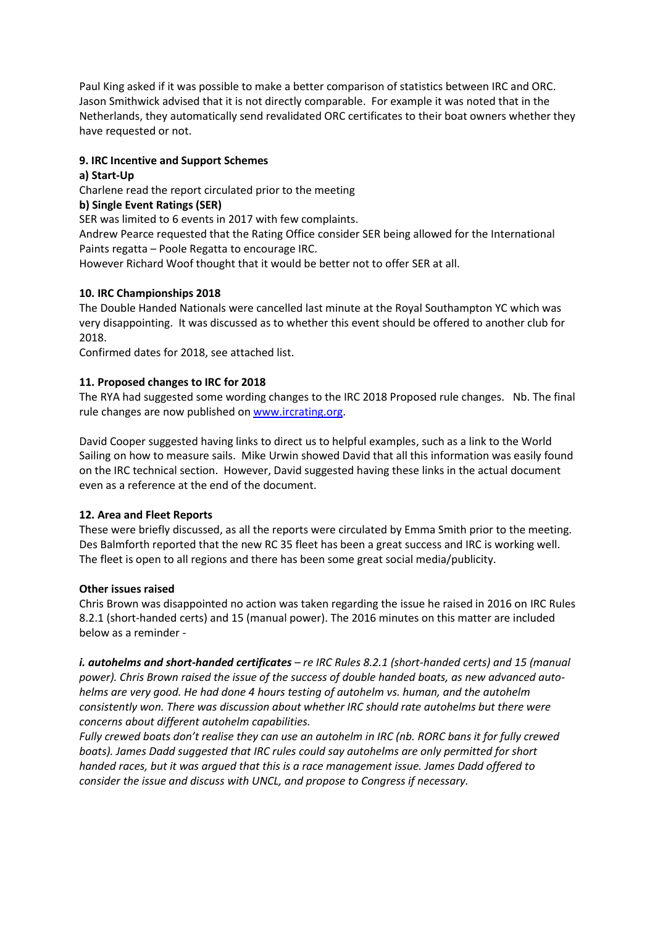Paul King asked if it was possible to make a better comparison of statistics between IRC and ORC. Jason Smithwick advised that it is not directly comparable. For example it was noted that in the Netherlands, they automatically send revalidated ORC certificates to their boat owners whether they have requested or not.

# **9. IRC Incentive and Support Schemes**

## **a) Start-Up**

Charlene read the report circulated prior to the meeting

## **b) Single Event Ratings (SER)**

SER was limited to 6 events in 2017 with few complaints.

Andrew Pearce requested that the Rating Office consider SER being allowed for the International Paints regatta – Poole Regatta to encourage IRC.

However Richard Woof thought that it would be better not to offer SER at all.

## **10. IRC Championships 2018**

The Double Handed Nationals were cancelled last minute at the Royal Southampton YC which was very disappointing. It was discussed as to whether this event should be offered to another club for 2018.

Confirmed dates for 2018, see attached list.

## **11. Proposed changes to IRC for 2018**

The RYA had suggested some wording changes to the IRC 2018 Proposed rule changes. Nb. The final rule changes are now published on [www.ircrating.org.](http://www.ircrating.org/)

David Cooper suggested having links to direct us to helpful examples, such as a link to the World Sailing on how to measure sails. Mike Urwin showed David that all this information was easily found on the IRC technical section. However, David suggested having these links in the actual document even as a reference at the end of the document.

#### **12. Area and Fleet Reports**

These were briefly discussed, as all the reports were circulated by Emma Smith prior to the meeting. Des Balmforth reported that the new RC 35 fleet has been a great success and IRC is working well. The fleet is open to all regions and there has been some great social media/publicity.

#### **Other issues raised**

Chris Brown was disappointed no action was taken regarding the issue he raised in 2016 on IRC Rules 8.2.1 (short-handed certs) and 15 (manual power). The 2016 minutes on this matter are included below as a reminder -

*i. autohelms and short-handed certificates – re IRC Rules 8.2.1 (short-handed certs) and 15 (manual power). Chris Brown raised the issue of the success of double handed boats, as new advanced autohelms are very good. He had done 4 hours testing of autohelm vs. human, and the autohelm consistently won. There was discussion about whether IRC should rate autohelms but there were concerns about different autohelm capabilities.* 

*Fully crewed boats don't realise they can use an autohelm in IRC (nb. RORC bans it for fully crewed boats). James Dadd suggested that IRC rules could say autohelms are only permitted for short handed races, but it was argued that this is a race management issue. James Dadd offered to consider the issue and discuss with UNCL, and propose to Congress if necessary.*